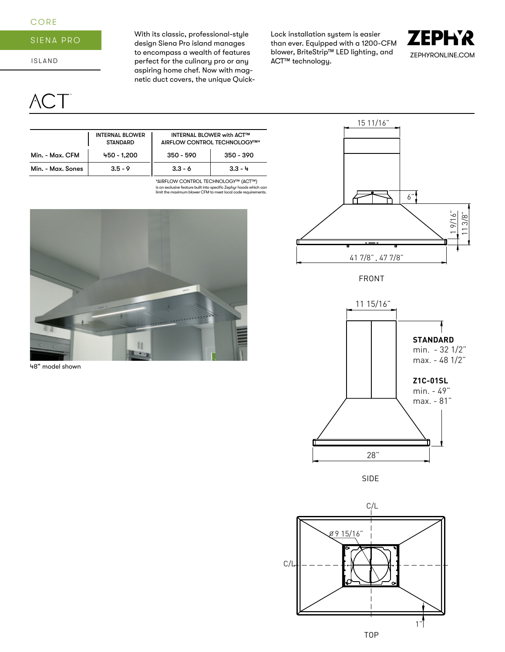## CORE

# SIENA PRO

ISLAND

 $\Lambda$  C  $\overline{\phantom{a}}$ 

With its classic, professional-style design Siena Pro island manages to encompass a wealth of features perfect for the culinary pro or any aspiring home chef. Now with magnetic duct covers, the unique QuickLock installation system is easier than ever. Equipped with a 1200-CFM blower, BriteStrip™ LED lighting, and ACT™ technology.



|                   | <b>INTERNAL BLOWER</b><br><b>STANDARD</b> | <b>INTERNAL BLOWER with ACT™</b><br>AIRFLOW CONTROL TECHNOLOGY™* |             |  |
|-------------------|-------------------------------------------|------------------------------------------------------------------|-------------|--|
| Min. - Max. CFM   | 450 - 1.200                               | $350 - 590$                                                      | $350 - 390$ |  |
| Min. - Max. Sones | $3.5 - 9$                                 | $3.3 - 6$                                                        | $3.3 - 4$   |  |

\*AIRFLOW CONTROL TECHNOLOGY™ (ACT™) is an exclusive feature built into specific Zephyr hoods which can limit the maximum blower CFM to meet local code requirements.



48" model shown



FRONT



SIDE